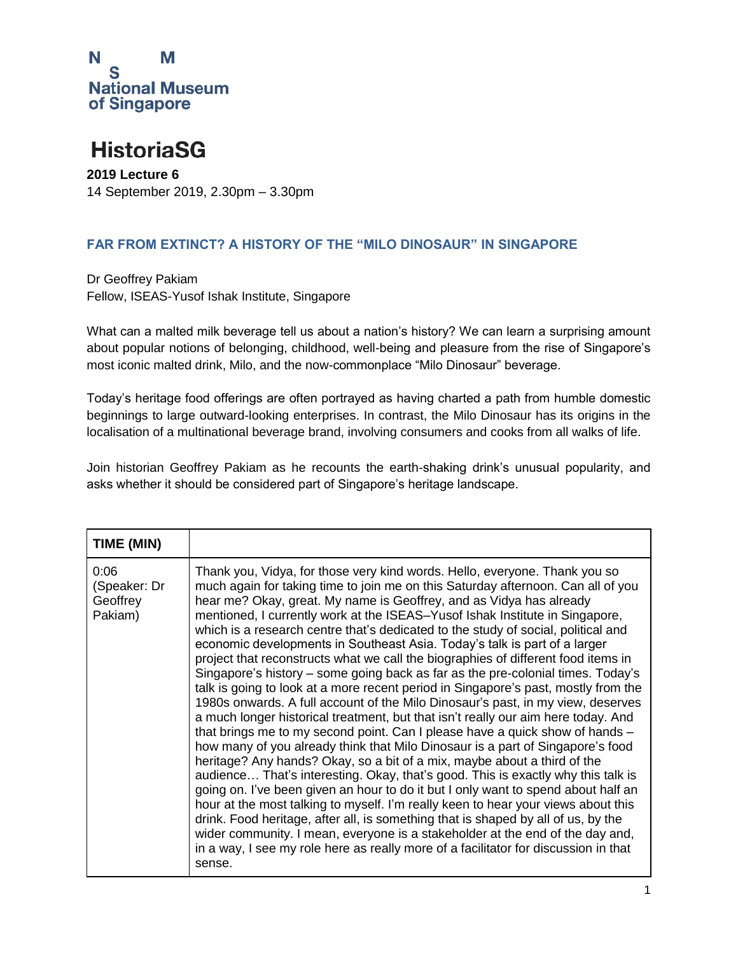

### **HistoriaSG**

**2019 Lecture 6** 14 September 2019, 2.30pm – 3.30pm

#### **FAR FROM EXTINCT? A HISTORY OF THE "MILO DINOSAUR" IN SINGAPORE**

Dr Geoffrey Pakiam Fellow, ISEAS-Yusof Ishak Institute, Singapore

What can a malted milk beverage tell us about a nation's history? We can learn a surprising amount about popular notions of belonging, childhood, well-being and pleasure from the rise of Singapore's most iconic malted drink, Milo, and the now-commonplace "Milo Dinosaur" beverage.

Today's heritage food offerings are often portrayed as having charted a path from humble domestic beginnings to large outward-looking enterprises. In contrast, the Milo Dinosaur has its origins in the localisation of a multinational beverage brand, involving consumers and cooks from all walks of life.

Join historian Geoffrey Pakiam as he recounts the earth-shaking drink's unusual popularity, and asks whether it should be considered part of Singapore's heritage landscape.

| TIME (MIN)                                  |                                                                                                                                                                                                                                                                                                                                                                                                                                                                                                                                                                                                                                                                                                                                                                                                                                                                                                                                                                                                                                                                                                                                                                                                                                                                                                                                                                                                                                                                                                                                                                                                                                                                                                                  |
|---------------------------------------------|------------------------------------------------------------------------------------------------------------------------------------------------------------------------------------------------------------------------------------------------------------------------------------------------------------------------------------------------------------------------------------------------------------------------------------------------------------------------------------------------------------------------------------------------------------------------------------------------------------------------------------------------------------------------------------------------------------------------------------------------------------------------------------------------------------------------------------------------------------------------------------------------------------------------------------------------------------------------------------------------------------------------------------------------------------------------------------------------------------------------------------------------------------------------------------------------------------------------------------------------------------------------------------------------------------------------------------------------------------------------------------------------------------------------------------------------------------------------------------------------------------------------------------------------------------------------------------------------------------------------------------------------------------------------------------------------------------------|
| 0:06<br>(Speaker: Dr<br>Geoffrey<br>Pakiam) | Thank you, Vidya, for those very kind words. Hello, everyone. Thank you so<br>much again for taking time to join me on this Saturday afternoon. Can all of you<br>hear me? Okay, great. My name is Geoffrey, and as Vidya has already<br>mentioned, I currently work at the ISEAS-Yusof Ishak Institute in Singapore,<br>which is a research centre that's dedicated to the study of social, political and<br>economic developments in Southeast Asia. Today's talk is part of a larger<br>project that reconstructs what we call the biographies of different food items in<br>Singapore's history – some going back as far as the pre-colonial times. Today's<br>talk is going to look at a more recent period in Singapore's past, mostly from the<br>1980s onwards. A full account of the Milo Dinosaur's past, in my view, deserves<br>a much longer historical treatment, but that isn't really our aim here today. And<br>that brings me to my second point. Can I please have a quick show of hands -<br>how many of you already think that Milo Dinosaur is a part of Singapore's food<br>heritage? Any hands? Okay, so a bit of a mix, maybe about a third of the<br>audience That's interesting. Okay, that's good. This is exactly why this talk is<br>going on. I've been given an hour to do it but I only want to spend about half an<br>hour at the most talking to myself. I'm really keen to hear your views about this<br>drink. Food heritage, after all, is something that is shaped by all of us, by the<br>wider community. I mean, everyone is a stakeholder at the end of the day and,<br>in a way, I see my role here as really more of a facilitator for discussion in that<br>sense. |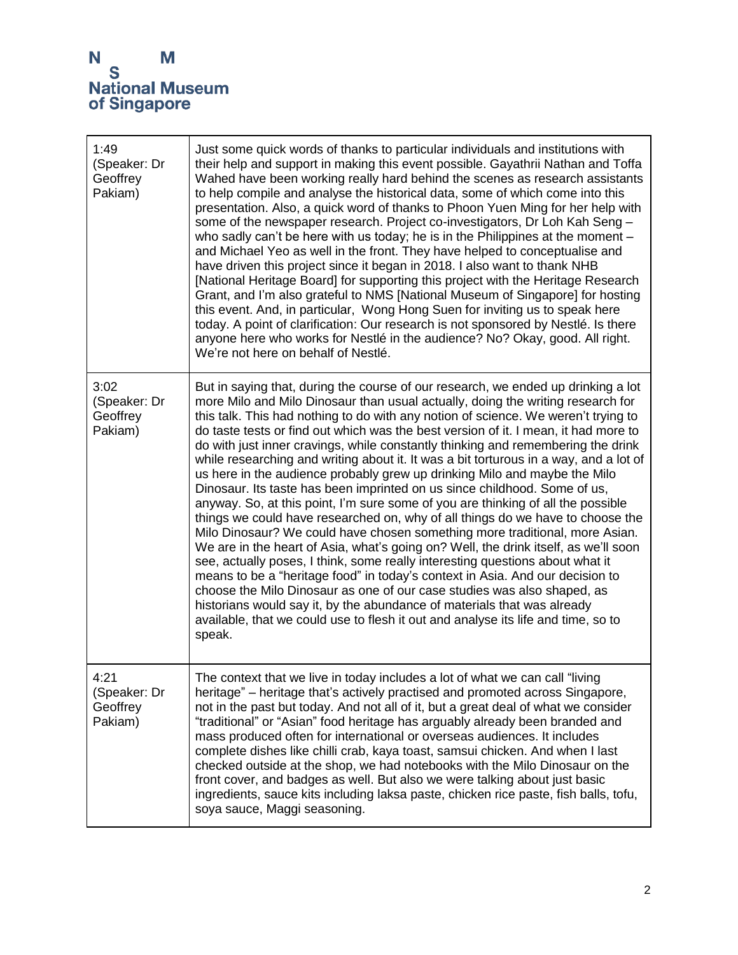| 1:49<br>(Speaker: Dr<br>Geoffrey<br>Pakiam) | Just some quick words of thanks to particular individuals and institutions with<br>their help and support in making this event possible. Gayathrii Nathan and Toffa<br>Wahed have been working really hard behind the scenes as research assistants<br>to help compile and analyse the historical data, some of which come into this<br>presentation. Also, a quick word of thanks to Phoon Yuen Ming for her help with<br>some of the newspaper research. Project co-investigators, Dr Loh Kah Seng -<br>who sadly can't be here with us today; he is in the Philippines at the moment $-$<br>and Michael Yeo as well in the front. They have helped to conceptualise and<br>have driven this project since it began in 2018. I also want to thank NHB<br>[National Heritage Board] for supporting this project with the Heritage Research<br>Grant, and I'm also grateful to NMS [National Museum of Singapore] for hosting<br>this event. And, in particular, Wong Hong Suen for inviting us to speak here<br>today. A point of clarification: Our research is not sponsored by Nestlé. Is there<br>anyone here who works for Nestlé in the audience? No? Okay, good. All right.<br>We're not here on behalf of Nestlé.                                                                                                                                                                                                                                  |
|---------------------------------------------|-------------------------------------------------------------------------------------------------------------------------------------------------------------------------------------------------------------------------------------------------------------------------------------------------------------------------------------------------------------------------------------------------------------------------------------------------------------------------------------------------------------------------------------------------------------------------------------------------------------------------------------------------------------------------------------------------------------------------------------------------------------------------------------------------------------------------------------------------------------------------------------------------------------------------------------------------------------------------------------------------------------------------------------------------------------------------------------------------------------------------------------------------------------------------------------------------------------------------------------------------------------------------------------------------------------------------------------------------------------------------------------------------------------------------------------------------------------|
| 3:02<br>(Speaker: Dr<br>Geoffrey<br>Pakiam) | But in saying that, during the course of our research, we ended up drinking a lot<br>more Milo and Milo Dinosaur than usual actually, doing the writing research for<br>this talk. This had nothing to do with any notion of science. We weren't trying to<br>do taste tests or find out which was the best version of it. I mean, it had more to<br>do with just inner cravings, while constantly thinking and remembering the drink<br>while researching and writing about it. It was a bit torturous in a way, and a lot of<br>us here in the audience probably grew up drinking Milo and maybe the Milo<br>Dinosaur. Its taste has been imprinted on us since childhood. Some of us,<br>anyway. So, at this point, I'm sure some of you are thinking of all the possible<br>things we could have researched on, why of all things do we have to choose the<br>Milo Dinosaur? We could have chosen something more traditional, more Asian.<br>We are in the heart of Asia, what's going on? Well, the drink itself, as we'll soon<br>see, actually poses, I think, some really interesting questions about what it<br>means to be a "heritage food" in today's context in Asia. And our decision to<br>choose the Milo Dinosaur as one of our case studies was also shaped, as<br>historians would say it, by the abundance of materials that was already<br>available, that we could use to flesh it out and analyse its life and time, so to<br>speak. |
| 4:21<br>(Speaker: Dr<br>Geoffrey<br>Pakiam) | The context that we live in today includes a lot of what we can call "living"<br>heritage" – heritage that's actively practised and promoted across Singapore,<br>not in the past but today. And not all of it, but a great deal of what we consider<br>"traditional" or "Asian" food heritage has arguably already been branded and<br>mass produced often for international or overseas audiences. It includes<br>complete dishes like chilli crab, kaya toast, samsui chicken. And when I last<br>checked outside at the shop, we had notebooks with the Milo Dinosaur on the<br>front cover, and badges as well. But also we were talking about just basic<br>ingredients, sauce kits including laksa paste, chicken rice paste, fish balls, tofu,<br>soya sauce, Maggi seasoning.                                                                                                                                                                                                                                                                                                                                                                                                                                                                                                                                                                                                                                                                      |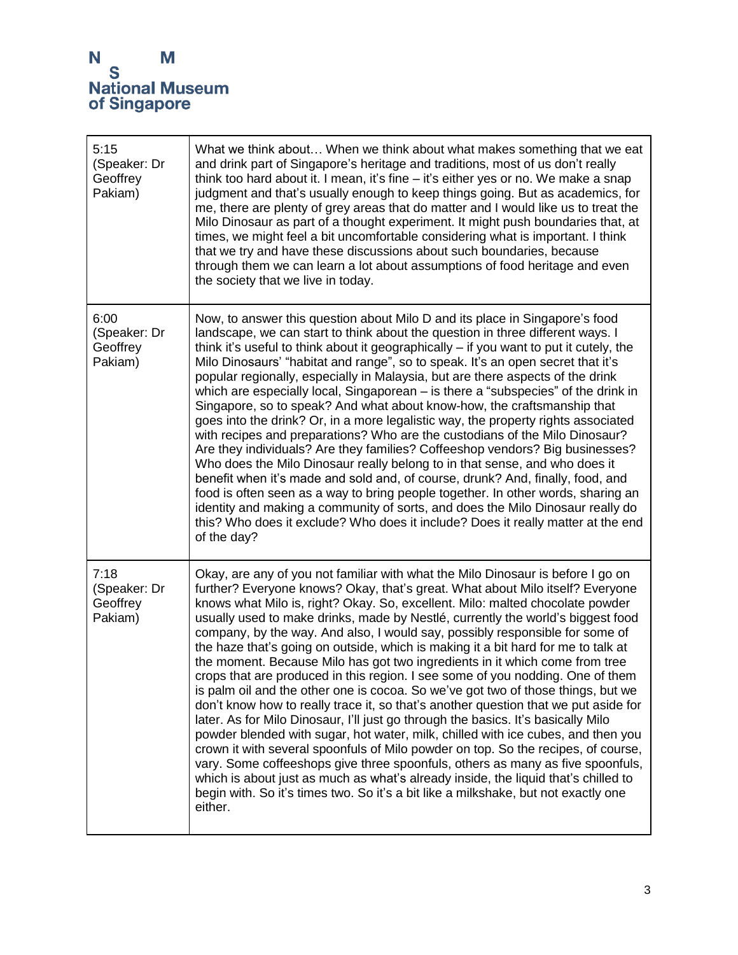| 5:15<br>(Speaker: Dr<br>Geoffrey<br>Pakiam) | What we think about When we think about what makes something that we eat<br>and drink part of Singapore's heritage and traditions, most of us don't really<br>think too hard about it. I mean, it's fine - it's either yes or no. We make a snap<br>judgment and that's usually enough to keep things going. But as academics, for<br>me, there are plenty of grey areas that do matter and I would like us to treat the<br>Milo Dinosaur as part of a thought experiment. It might push boundaries that, at<br>times, we might feel a bit uncomfortable considering what is important. I think<br>that we try and have these discussions about such boundaries, because<br>through them we can learn a lot about assumptions of food heritage and even<br>the society that we live in today.                                                                                                                                                                                                                                                                                                                                                                                                                                                                                                                                                                                                |
|---------------------------------------------|----------------------------------------------------------------------------------------------------------------------------------------------------------------------------------------------------------------------------------------------------------------------------------------------------------------------------------------------------------------------------------------------------------------------------------------------------------------------------------------------------------------------------------------------------------------------------------------------------------------------------------------------------------------------------------------------------------------------------------------------------------------------------------------------------------------------------------------------------------------------------------------------------------------------------------------------------------------------------------------------------------------------------------------------------------------------------------------------------------------------------------------------------------------------------------------------------------------------------------------------------------------------------------------------------------------------------------------------------------------------------------------------|
| 6:00<br>(Speaker: Dr<br>Geoffrey<br>Pakiam) | Now, to answer this question about Milo D and its place in Singapore's food<br>landscape, we can start to think about the question in three different ways. I<br>think it's useful to think about it geographically – if you want to put it cutely, the<br>Milo Dinosaurs' "habitat and range", so to speak. It's an open secret that it's<br>popular regionally, especially in Malaysia, but are there aspects of the drink<br>which are especially local, Singaporean – is there a "subspecies" of the drink in<br>Singapore, so to speak? And what about know-how, the craftsmanship that<br>goes into the drink? Or, in a more legalistic way, the property rights associated<br>with recipes and preparations? Who are the custodians of the Milo Dinosaur?<br>Are they individuals? Are they families? Coffeeshop vendors? Big businesses?<br>Who does the Milo Dinosaur really belong to in that sense, and who does it<br>benefit when it's made and sold and, of course, drunk? And, finally, food, and<br>food is often seen as a way to bring people together. In other words, sharing an<br>identity and making a community of sorts, and does the Milo Dinosaur really do<br>this? Who does it exclude? Who does it include? Does it really matter at the end<br>of the day?                                                                                                    |
| 7:18<br>(Speaker: Dr<br>Geoffrey<br>Pakiam) | Okay, are any of you not familiar with what the Milo Dinosaur is before I go on<br>further? Everyone knows? Okay, that's great. What about Milo itself? Everyone<br>knows what Milo is, right? Okay. So, excellent. Milo: malted chocolate powder<br>usually used to make drinks, made by Nestlé, currently the world's biggest food<br>company, by the way. And also, I would say, possibly responsible for some of<br>the haze that's going on outside, which is making it a bit hard for me to talk at<br>the moment. Because Milo has got two ingredients in it which come from tree<br>crops that are produced in this region. I see some of you nodding. One of them<br>is palm oil and the other one is cocoa. So we've got two of those things, but we<br>don't know how to really trace it, so that's another question that we put aside for<br>later. As for Milo Dinosaur, I'll just go through the basics. It's basically Milo<br>powder blended with sugar, hot water, milk, chilled with ice cubes, and then you<br>crown it with several spoonfuls of Milo powder on top. So the recipes, of course,<br>vary. Some coffeeshops give three spoonfuls, others as many as five spoonfuls,<br>which is about just as much as what's already inside, the liquid that's chilled to<br>begin with. So it's times two. So it's a bit like a milkshake, but not exactly one<br>either. |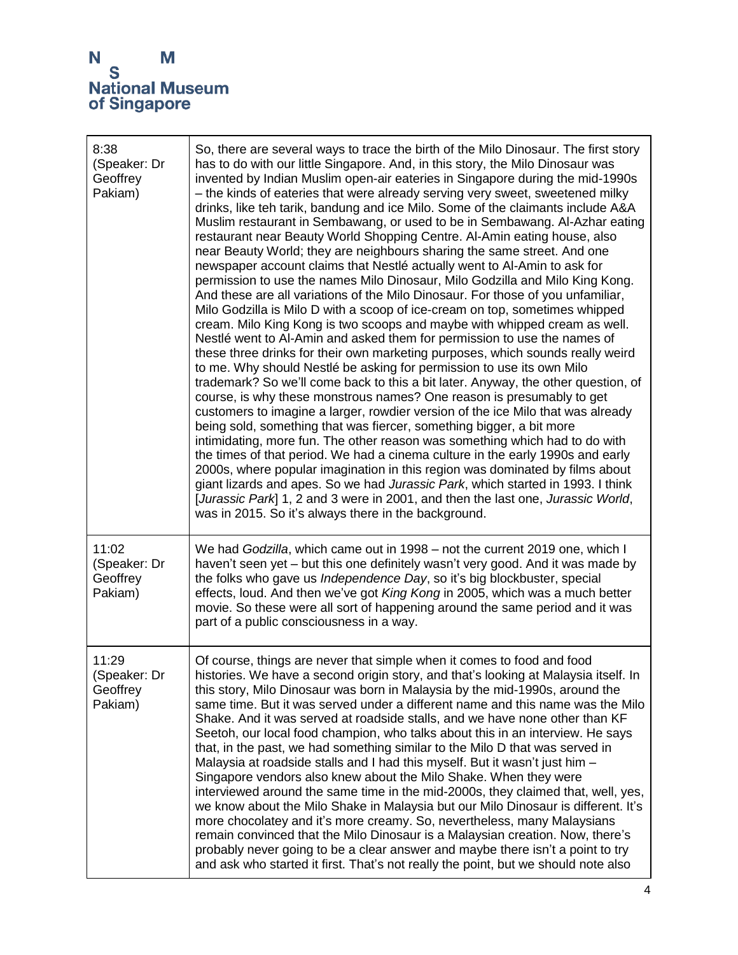| 8:38<br>(Speaker: Dr<br>Geoffrey<br>Pakiam)  | So, there are several ways to trace the birth of the Milo Dinosaur. The first story<br>has to do with our little Singapore. And, in this story, the Milo Dinosaur was<br>invented by Indian Muslim open-air eateries in Singapore during the mid-1990s<br>- the kinds of eateries that were already serving very sweet, sweetened milky<br>drinks, like teh tarik, bandung and ice Milo. Some of the claimants include A&A<br>Muslim restaurant in Sembawang, or used to be in Sembawang. Al-Azhar eating<br>restaurant near Beauty World Shopping Centre. Al-Amin eating house, also<br>near Beauty World; they are neighbours sharing the same street. And one<br>newspaper account claims that Nestlé actually went to Al-Amin to ask for<br>permission to use the names Milo Dinosaur, Milo Godzilla and Milo King Kong.<br>And these are all variations of the Milo Dinosaur. For those of you unfamiliar,<br>Milo Godzilla is Milo D with a scoop of ice-cream on top, sometimes whipped<br>cream. Milo King Kong is two scoops and maybe with whipped cream as well.<br>Nestlé went to Al-Amin and asked them for permission to use the names of<br>these three drinks for their own marketing purposes, which sounds really weird<br>to me. Why should Nestlé be asking for permission to use its own Milo<br>trademark? So we'll come back to this a bit later. Anyway, the other question, of<br>course, is why these monstrous names? One reason is presumably to get<br>customers to imagine a larger, rowdier version of the ice Milo that was already<br>being sold, something that was fiercer, something bigger, a bit more<br>intimidating, more fun. The other reason was something which had to do with<br>the times of that period. We had a cinema culture in the early 1990s and early<br>2000s, where popular imagination in this region was dominated by films about<br>giant lizards and apes. So we had Jurassic Park, which started in 1993. I think<br>[Jurassic Park] 1, 2 and 3 were in 2001, and then the last one, Jurassic World,<br>was in 2015. So it's always there in the background. |
|----------------------------------------------|----------------------------------------------------------------------------------------------------------------------------------------------------------------------------------------------------------------------------------------------------------------------------------------------------------------------------------------------------------------------------------------------------------------------------------------------------------------------------------------------------------------------------------------------------------------------------------------------------------------------------------------------------------------------------------------------------------------------------------------------------------------------------------------------------------------------------------------------------------------------------------------------------------------------------------------------------------------------------------------------------------------------------------------------------------------------------------------------------------------------------------------------------------------------------------------------------------------------------------------------------------------------------------------------------------------------------------------------------------------------------------------------------------------------------------------------------------------------------------------------------------------------------------------------------------------------------------------------------------------------------------------------------------------------------------------------------------------------------------------------------------------------------------------------------------------------------------------------------------------------------------------------------------------------------------------------------------------------------------------------------------------------------------------------------------------------------------------------------------------------------|
| 11:02<br>(Speaker: Dr<br>Geoffrey<br>Pakiam) | We had Godzilla, which came out in 1998 – not the current 2019 one, which I<br>haven't seen yet - but this one definitely wasn't very good. And it was made by<br>the folks who gave us Independence Day, so it's big blockbuster, special<br>effects, loud. And then we've got King Kong in 2005, which was a much better<br>movie. So these were all sort of happening around the same period and it was<br>part of a public consciousness in a way.                                                                                                                                                                                                                                                                                                                                                                                                                                                                                                                                                                                                                                                                                                                                                                                                                                                                                                                                                                                                                                                                                                                                                                                                                                                                                                                                                                                                                                                                                                                                                                                                                                                                     |
| 11:29<br>(Speaker: Dr<br>Geoffrey<br>Pakiam) | Of course, things are never that simple when it comes to food and food<br>histories. We have a second origin story, and that's looking at Malaysia itself. In<br>this story, Milo Dinosaur was born in Malaysia by the mid-1990s, around the<br>same time. But it was served under a different name and this name was the Milo<br>Shake. And it was served at roadside stalls, and we have none other than KF<br>Seetoh, our local food champion, who talks about this in an interview. He says<br>that, in the past, we had something similar to the Milo D that was served in<br>Malaysia at roadside stalls and I had this myself. But it wasn't just him -<br>Singapore vendors also knew about the Milo Shake. When they were<br>interviewed around the same time in the mid-2000s, they claimed that, well, yes,<br>we know about the Milo Shake in Malaysia but our Milo Dinosaur is different. It's<br>more chocolatey and it's more creamy. So, nevertheless, many Malaysians<br>remain convinced that the Milo Dinosaur is a Malaysian creation. Now, there's<br>probably never going to be a clear answer and maybe there isn't a point to try<br>and ask who started it first. That's not really the point, but we should note also                                                                                                                                                                                                                                                                                                                                                                                                                                                                                                                                                                                                                                                                                                                                                                                                                                                                            |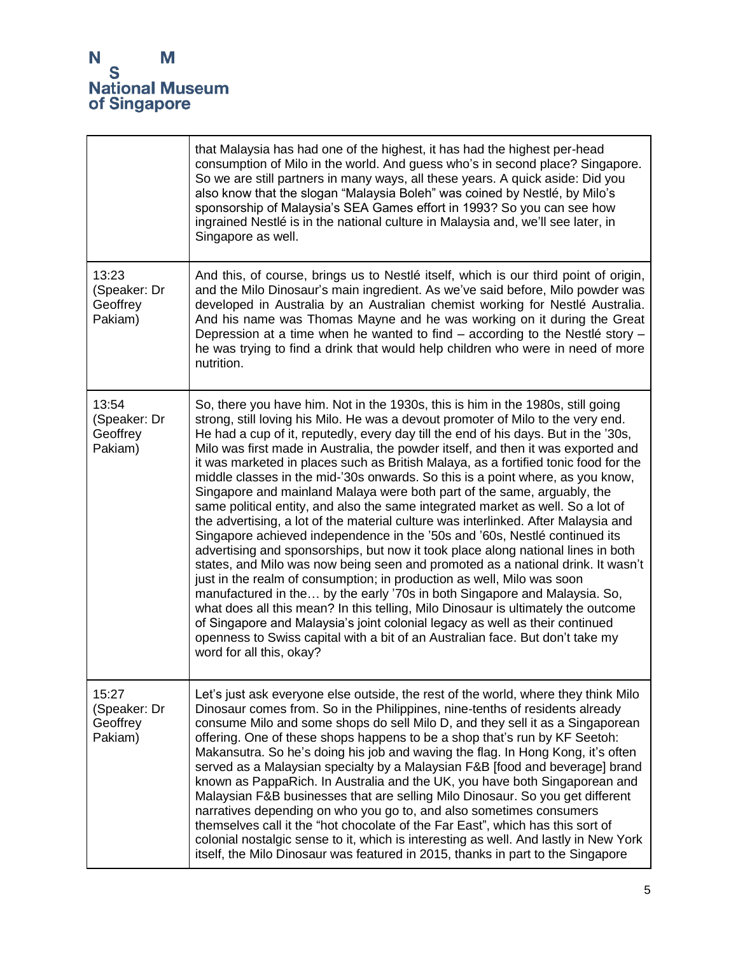

|                                              | that Malaysia has had one of the highest, it has had the highest per-head<br>consumption of Milo in the world. And guess who's in second place? Singapore.<br>So we are still partners in many ways, all these years. A quick aside: Did you<br>also know that the slogan "Malaysia Boleh" was coined by Nestlé, by Milo's<br>sponsorship of Malaysia's SEA Games effort in 1993? So you can see how<br>ingrained Nestlé is in the national culture in Malaysia and, we'll see later, in<br>Singapore as well.                                                                                                                                                                                                                                                                                                                                                                                                                                                                                                                                                                                                                                                                                                                                                                                                                                                                                                                                                             |
|----------------------------------------------|----------------------------------------------------------------------------------------------------------------------------------------------------------------------------------------------------------------------------------------------------------------------------------------------------------------------------------------------------------------------------------------------------------------------------------------------------------------------------------------------------------------------------------------------------------------------------------------------------------------------------------------------------------------------------------------------------------------------------------------------------------------------------------------------------------------------------------------------------------------------------------------------------------------------------------------------------------------------------------------------------------------------------------------------------------------------------------------------------------------------------------------------------------------------------------------------------------------------------------------------------------------------------------------------------------------------------------------------------------------------------------------------------------------------------------------------------------------------------|
| 13:23<br>(Speaker: Dr<br>Geoffrey<br>Pakiam) | And this, of course, brings us to Nestlé itself, which is our third point of origin,<br>and the Milo Dinosaur's main ingredient. As we've said before, Milo powder was<br>developed in Australia by an Australian chemist working for Nestlé Australia.<br>And his name was Thomas Mayne and he was working on it during the Great<br>Depression at a time when he wanted to find – according to the Nestlé story –<br>he was trying to find a drink that would help children who were in need of more<br>nutrition.                                                                                                                                                                                                                                                                                                                                                                                                                                                                                                                                                                                                                                                                                                                                                                                                                                                                                                                                                       |
| 13:54<br>(Speaker: Dr<br>Geoffrey<br>Pakiam) | So, there you have him. Not in the 1930s, this is him in the 1980s, still going<br>strong, still loving his Milo. He was a devout promoter of Milo to the very end.<br>He had a cup of it, reputedly, every day till the end of his days. But in the '30s,<br>Milo was first made in Australia, the powder itself, and then it was exported and<br>it was marketed in places such as British Malaya, as a fortified tonic food for the<br>middle classes in the mid-'30s onwards. So this is a point where, as you know,<br>Singapore and mainland Malaya were both part of the same, arguably, the<br>same political entity, and also the same integrated market as well. So a lot of<br>the advertising, a lot of the material culture was interlinked. After Malaysia and<br>Singapore achieved independence in the '50s and '60s, Nestlé continued its<br>advertising and sponsorships, but now it took place along national lines in both<br>states, and Milo was now being seen and promoted as a national drink. It wasn't<br>just in the realm of consumption; in production as well, Milo was soon<br>manufactured in the by the early '70s in both Singapore and Malaysia. So,<br>what does all this mean? In this telling, Milo Dinosaur is ultimately the outcome<br>of Singapore and Malaysia's joint colonial legacy as well as their continued<br>openness to Swiss capital with a bit of an Australian face. But don't take my<br>word for all this, okay? |
| 15:27<br>(Speaker: Dr<br>Geoffrey<br>Pakiam) | Let's just ask everyone else outside, the rest of the world, where they think Milo<br>Dinosaur comes from. So in the Philippines, nine-tenths of residents already<br>consume Milo and some shops do sell Milo D, and they sell it as a Singaporean<br>offering. One of these shops happens to be a shop that's run by KF Seetoh:<br>Makansutra. So he's doing his job and waving the flag. In Hong Kong, it's often<br>served as a Malaysian specialty by a Malaysian F&B [food and beverage] brand<br>known as PappaRich. In Australia and the UK, you have both Singaporean and<br>Malaysian F&B businesses that are selling Milo Dinosaur. So you get different<br>narratives depending on who you go to, and also sometimes consumers<br>themselves call it the "hot chocolate of the Far East", which has this sort of<br>colonial nostalgic sense to it, which is interesting as well. And lastly in New York<br>itself, the Milo Dinosaur was featured in 2015, thanks in part to the Singapore                                                                                                                                                                                                                                                                                                                                                                                                                                                                    |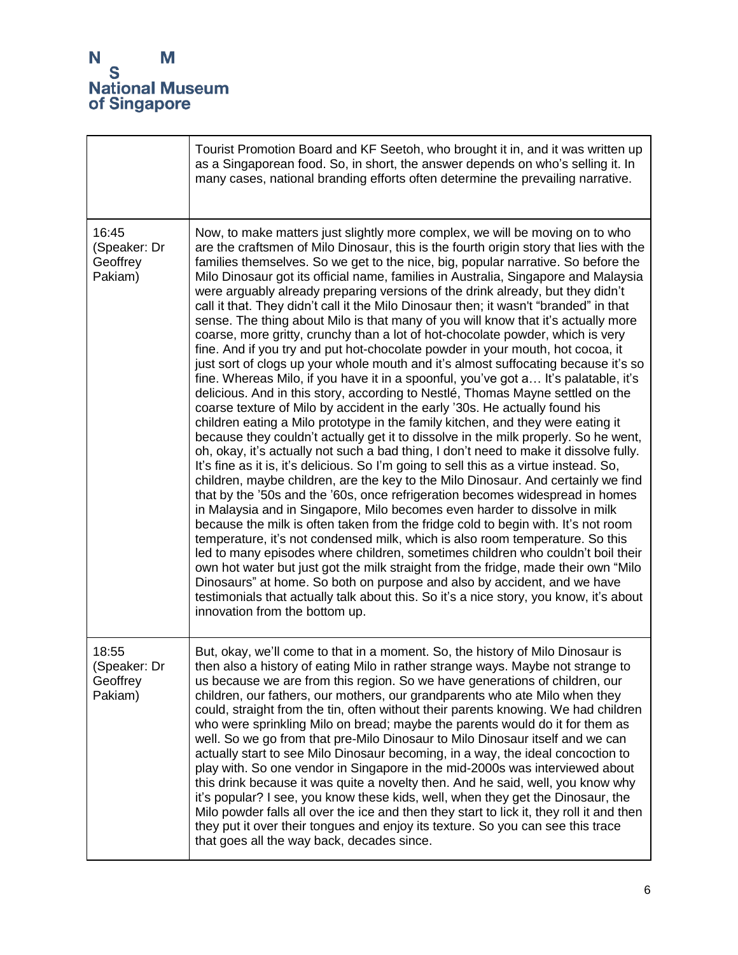|                                              | Tourist Promotion Board and KF Seetoh, who brought it in, and it was written up<br>as a Singaporean food. So, in short, the answer depends on who's selling it. In<br>many cases, national branding efforts often determine the prevailing narrative.                                                                                                                                                                                                                                                                                                                                                                                                                                                                                                                                                                                                                                                                                                                                                                                                                                                                                                                                                                                                                                                                                                                                                                                                                                                                                                                                                                                                                                                                                                                                                                                                                                                                                                                                                                                                                                                                                                                                                                                                                                                        |
|----------------------------------------------|--------------------------------------------------------------------------------------------------------------------------------------------------------------------------------------------------------------------------------------------------------------------------------------------------------------------------------------------------------------------------------------------------------------------------------------------------------------------------------------------------------------------------------------------------------------------------------------------------------------------------------------------------------------------------------------------------------------------------------------------------------------------------------------------------------------------------------------------------------------------------------------------------------------------------------------------------------------------------------------------------------------------------------------------------------------------------------------------------------------------------------------------------------------------------------------------------------------------------------------------------------------------------------------------------------------------------------------------------------------------------------------------------------------------------------------------------------------------------------------------------------------------------------------------------------------------------------------------------------------------------------------------------------------------------------------------------------------------------------------------------------------------------------------------------------------------------------------------------------------------------------------------------------------------------------------------------------------------------------------------------------------------------------------------------------------------------------------------------------------------------------------------------------------------------------------------------------------------------------------------------------------------------------------------------------------|
| 16:45<br>(Speaker: Dr<br>Geoffrey<br>Pakiam) | Now, to make matters just slightly more complex, we will be moving on to who<br>are the craftsmen of Milo Dinosaur, this is the fourth origin story that lies with the<br>families themselves. So we get to the nice, big, popular narrative. So before the<br>Milo Dinosaur got its official name, families in Australia, Singapore and Malaysia<br>were arguably already preparing versions of the drink already, but they didn't<br>call it that. They didn't call it the Milo Dinosaur then; it wasn't "branded" in that<br>sense. The thing about Milo is that many of you will know that it's actually more<br>coarse, more gritty, crunchy than a lot of hot-chocolate powder, which is very<br>fine. And if you try and put hot-chocolate powder in your mouth, hot cocoa, it<br>just sort of clogs up your whole mouth and it's almost suffocating because it's so<br>fine. Whereas Milo, if you have it in a spoonful, you've got a It's palatable, it's<br>delicious. And in this story, according to Nestlé, Thomas Mayne settled on the<br>coarse texture of Milo by accident in the early '30s. He actually found his<br>children eating a Milo prototype in the family kitchen, and they were eating it<br>because they couldn't actually get it to dissolve in the milk properly. So he went,<br>oh, okay, it's actually not such a bad thing, I don't need to make it dissolve fully.<br>It's fine as it is, it's delicious. So I'm going to sell this as a virtue instead. So,<br>children, maybe children, are the key to the Milo Dinosaur. And certainly we find<br>that by the '50s and the '60s, once refrigeration becomes widespread in homes<br>in Malaysia and in Singapore, Milo becomes even harder to dissolve in milk<br>because the milk is often taken from the fridge cold to begin with. It's not room<br>temperature, it's not condensed milk, which is also room temperature. So this<br>led to many episodes where children, sometimes children who couldn't boil their<br>own hot water but just got the milk straight from the fridge, made their own "Milo"<br>Dinosaurs" at home. So both on purpose and also by accident, and we have<br>testimonials that actually talk about this. So it's a nice story, you know, it's about<br>innovation from the bottom up. |
| 18:55<br>(Speaker: Dr<br>Geoffrey<br>Pakiam) | But, okay, we'll come to that in a moment. So, the history of Milo Dinosaur is<br>then also a history of eating Milo in rather strange ways. Maybe not strange to<br>us because we are from this region. So we have generations of children, our<br>children, our fathers, our mothers, our grandparents who ate Milo when they<br>could, straight from the tin, often without their parents knowing. We had children<br>who were sprinkling Milo on bread; maybe the parents would do it for them as<br>well. So we go from that pre-Milo Dinosaur to Milo Dinosaur itself and we can<br>actually start to see Milo Dinosaur becoming, in a way, the ideal concoction to<br>play with. So one vendor in Singapore in the mid-2000s was interviewed about<br>this drink because it was quite a novelty then. And he said, well, you know why<br>it's popular? I see, you know these kids, well, when they get the Dinosaur, the<br>Milo powder falls all over the ice and then they start to lick it, they roll it and then<br>they put it over their tongues and enjoy its texture. So you can see this trace<br>that goes all the way back, decades since.                                                                                                                                                                                                                                                                                                                                                                                                                                                                                                                                                                                                                                                                                                                                                                                                                                                                                                                                                                                                                                                                                                                                                 |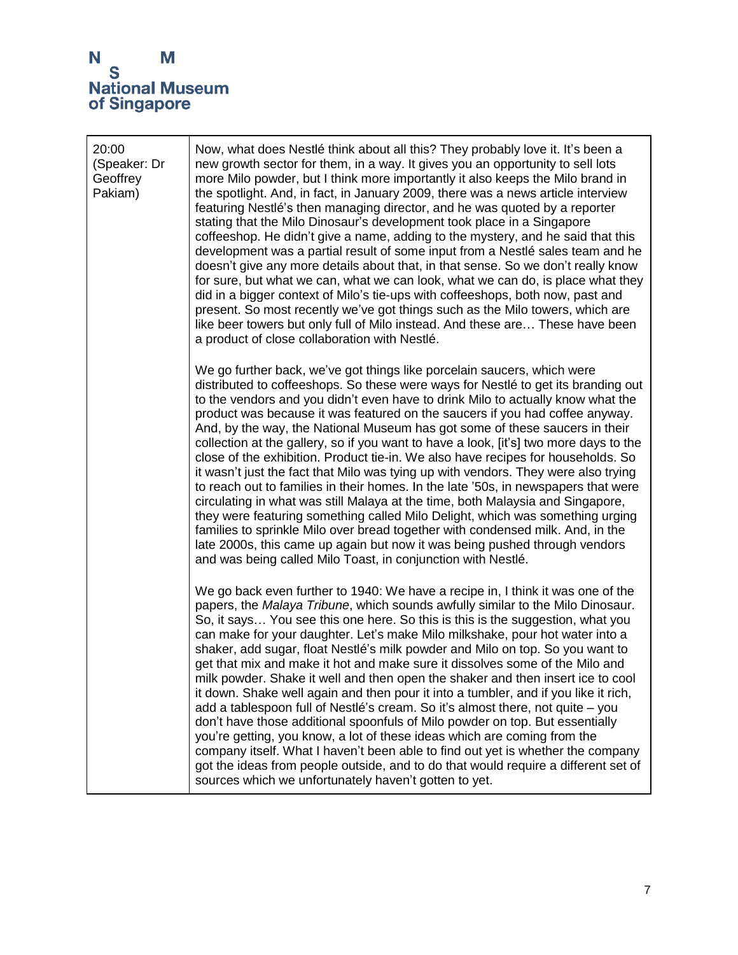| 20:00<br>(Speaker: Dr<br>Geoffrey<br>Pakiam) | Now, what does Nestlé think about all this? They probably love it. It's been a<br>new growth sector for them, in a way. It gives you an opportunity to sell lots<br>more Milo powder, but I think more importantly it also keeps the Milo brand in<br>the spotlight. And, in fact, in January 2009, there was a news article interview<br>featuring Nestlé's then managing director, and he was quoted by a reporter<br>stating that the Milo Dinosaur's development took place in a Singapore<br>coffeeshop. He didn't give a name, adding to the mystery, and he said that this<br>development was a partial result of some input from a Nestlé sales team and he<br>doesn't give any more details about that, in that sense. So we don't really know<br>for sure, but what we can, what we can look, what we can do, is place what they<br>did in a bigger context of Milo's tie-ups with coffeeshops, both now, past and<br>present. So most recently we've got things such as the Milo towers, which are<br>like beer towers but only full of Milo instead. And these are These have been<br>a product of close collaboration with Nestlé.                            |
|----------------------------------------------|----------------------------------------------------------------------------------------------------------------------------------------------------------------------------------------------------------------------------------------------------------------------------------------------------------------------------------------------------------------------------------------------------------------------------------------------------------------------------------------------------------------------------------------------------------------------------------------------------------------------------------------------------------------------------------------------------------------------------------------------------------------------------------------------------------------------------------------------------------------------------------------------------------------------------------------------------------------------------------------------------------------------------------------------------------------------------------------------------------------------------------------------------------------------------|
|                                              | We go further back, we've got things like porcelain saucers, which were<br>distributed to coffeeshops. So these were ways for Nestlé to get its branding out<br>to the vendors and you didn't even have to drink Milo to actually know what the<br>product was because it was featured on the saucers if you had coffee anyway.<br>And, by the way, the National Museum has got some of these saucers in their<br>collection at the gallery, so if you want to have a look, [it's] two more days to the<br>close of the exhibition. Product tie-in. We also have recipes for households. So<br>it wasn't just the fact that Milo was tying up with vendors. They were also trying<br>to reach out to families in their homes. In the late '50s, in newspapers that were<br>circulating in what was still Malaya at the time, both Malaysia and Singapore,<br>they were featuring something called Milo Delight, which was something urging<br>families to sprinkle Milo over bread together with condensed milk. And, in the<br>late 2000s, this came up again but now it was being pushed through vendors<br>and was being called Milo Toast, in conjunction with Nestlé. |
|                                              | We go back even further to 1940: We have a recipe in, I think it was one of the<br>papers, the Malaya Tribune, which sounds awfully similar to the Milo Dinosaur.<br>So, it says You see this one here. So this is this is the suggestion, what you<br>can make for your daughter. Let's make Milo milkshake, pour hot water into a<br>shaker, add sugar, float Nestlé's milk powder and Milo on top. So you want to<br>get that mix and make it hot and make sure it dissolves some of the Milo and<br>milk powder. Shake it well and then open the shaker and then insert ice to cool<br>it down. Shake well again and then pour it into a tumbler, and if you like it rich,<br>add a tablespoon full of Nestlé's cream. So it's almost there, not quite - you<br>don't have those additional spoonfuls of Milo powder on top. But essentially<br>you're getting, you know, a lot of these ideas which are coming from the<br>company itself. What I haven't been able to find out yet is whether the company<br>got the ideas from people outside, and to do that would require a different set of<br>sources which we unfortunately haven't gotten to yet.             |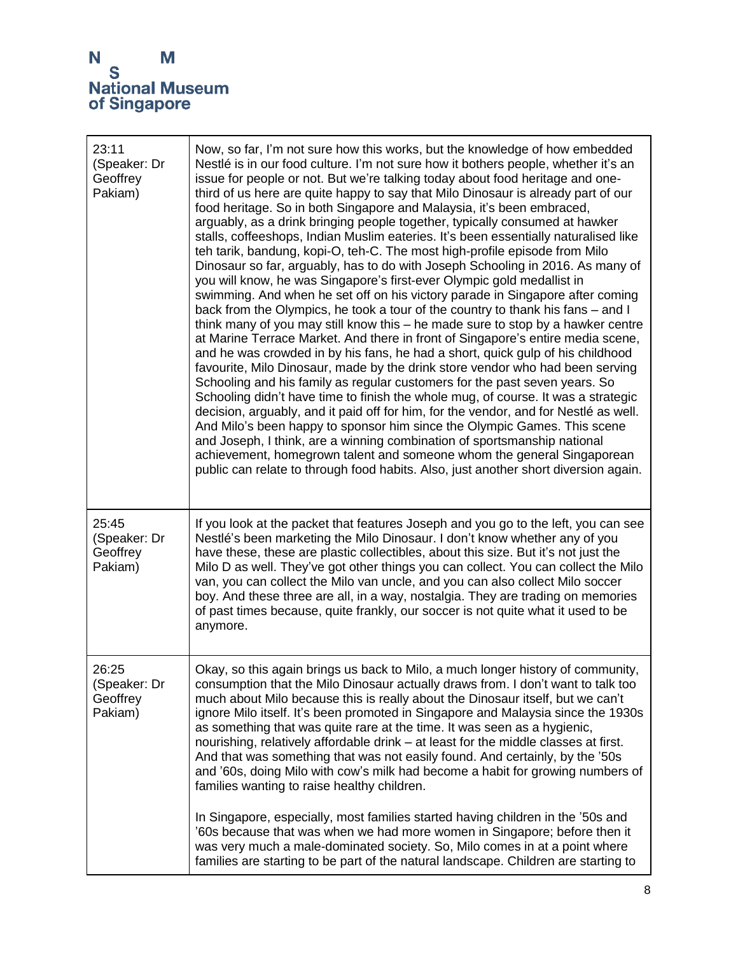| 23:11<br>(Speaker: Dr<br>Geoffrey<br>Pakiam) | Now, so far, I'm not sure how this works, but the knowledge of how embedded<br>Nestlé is in our food culture. I'm not sure how it bothers people, whether it's an<br>issue for people or not. But we're talking today about food heritage and one-<br>third of us here are quite happy to say that Milo Dinosaur is already part of our<br>food heritage. So in both Singapore and Malaysia, it's been embraced,<br>arguably, as a drink bringing people together, typically consumed at hawker<br>stalls, coffeeshops, Indian Muslim eateries. It's been essentially naturalised like<br>teh tarik, bandung, kopi-O, teh-C. The most high-profile episode from Milo<br>Dinosaur so far, arguably, has to do with Joseph Schooling in 2016. As many of<br>you will know, he was Singapore's first-ever Olympic gold medallist in<br>swimming. And when he set off on his victory parade in Singapore after coming<br>back from the Olympics, he took a tour of the country to thank his fans – and I<br>think many of you may still know this - he made sure to stop by a hawker centre<br>at Marine Terrace Market. And there in front of Singapore's entire media scene,<br>and he was crowded in by his fans, he had a short, quick gulp of his childhood<br>favourite, Milo Dinosaur, made by the drink store vendor who had been serving<br>Schooling and his family as regular customers for the past seven years. So<br>Schooling didn't have time to finish the whole mug, of course. It was a strategic<br>decision, arguably, and it paid off for him, for the vendor, and for Nestlé as well.<br>And Milo's been happy to sponsor him since the Olympic Games. This scene<br>and Joseph, I think, are a winning combination of sportsmanship national<br>achievement, homegrown talent and someone whom the general Singaporean<br>public can relate to through food habits. Also, just another short diversion again. |
|----------------------------------------------|-----------------------------------------------------------------------------------------------------------------------------------------------------------------------------------------------------------------------------------------------------------------------------------------------------------------------------------------------------------------------------------------------------------------------------------------------------------------------------------------------------------------------------------------------------------------------------------------------------------------------------------------------------------------------------------------------------------------------------------------------------------------------------------------------------------------------------------------------------------------------------------------------------------------------------------------------------------------------------------------------------------------------------------------------------------------------------------------------------------------------------------------------------------------------------------------------------------------------------------------------------------------------------------------------------------------------------------------------------------------------------------------------------------------------------------------------------------------------------------------------------------------------------------------------------------------------------------------------------------------------------------------------------------------------------------------------------------------------------------------------------------------------------------------------------------------------------------------------------------------------------------------------------------------------------------|
| 25:45<br>(Speaker: Dr<br>Geoffrey<br>Pakiam) | If you look at the packet that features Joseph and you go to the left, you can see<br>Nestlé's been marketing the Milo Dinosaur. I don't know whether any of you<br>have these, these are plastic collectibles, about this size. But it's not just the<br>Milo D as well. They've got other things you can collect. You can collect the Milo<br>van, you can collect the Milo van uncle, and you can also collect Milo soccer<br>boy. And these three are all, in a way, nostalgia. They are trading on memories<br>of past times because, quite frankly, our soccer is not quite what it used to be<br>anymore.                                                                                                                                                                                                                                                                                                                                                                                                                                                                                                                                                                                                                                                                                                                                                                                                                                                                                                                                                                                                                                                                                                                                                                                                                                                                                                                  |
| 26:25<br>(Speaker: Dr<br>Geoffrey<br>Pakiam) | Okay, so this again brings us back to Milo, a much longer history of community,<br>consumption that the Milo Dinosaur actually draws from. I don't want to talk too<br>much about Milo because this is really about the Dinosaur itself, but we can't<br>ignore Milo itself. It's been promoted in Singapore and Malaysia since the 1930s<br>as something that was quite rare at the time. It was seen as a hygienic,<br>nourishing, relatively affordable drink – at least for the middle classes at first.<br>And that was something that was not easily found. And certainly, by the '50s<br>and '60s, doing Milo with cow's milk had become a habit for growing numbers of<br>families wanting to raise healthy children.<br>In Singapore, especially, most families started having children in the '50s and<br>'60s because that was when we had more women in Singapore; before then it<br>was very much a male-dominated society. So, Milo comes in at a point where<br>families are starting to be part of the natural landscape. Children are starting to                                                                                                                                                                                                                                                                                                                                                                                                                                                                                                                                                                                                                                                                                                                                                                                                                                                                |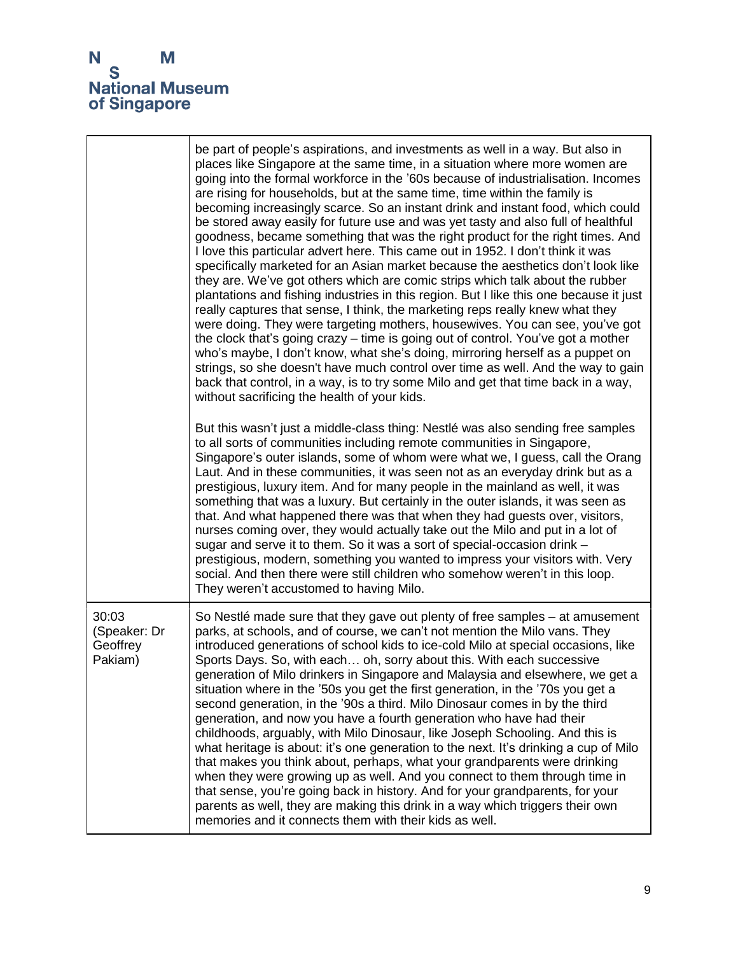┱

 $\blacksquare$ 

|                                              | be part of people's aspirations, and investments as well in a way. But also in<br>places like Singapore at the same time, in a situation where more women are<br>going into the formal workforce in the '60s because of industrialisation. Incomes<br>are rising for households, but at the same time, time within the family is<br>becoming increasingly scarce. So an instant drink and instant food, which could<br>be stored away easily for future use and was yet tasty and also full of healthful<br>goodness, became something that was the right product for the right times. And<br>I love this particular advert here. This came out in 1952. I don't think it was<br>specifically marketed for an Asian market because the aesthetics don't look like<br>they are. We've got others which are comic strips which talk about the rubber<br>plantations and fishing industries in this region. But I like this one because it just<br>really captures that sense, I think, the marketing reps really knew what they<br>were doing. They were targeting mothers, housewives. You can see, you've got<br>the clock that's going crazy – time is going out of control. You've got a mother<br>who's maybe, I don't know, what she's doing, mirroring herself as a puppet on<br>strings, so she doesn't have much control over time as well. And the way to gain<br>back that control, in a way, is to try some Milo and get that time back in a way,<br>without sacrificing the health of your kids. |
|----------------------------------------------|-------------------------------------------------------------------------------------------------------------------------------------------------------------------------------------------------------------------------------------------------------------------------------------------------------------------------------------------------------------------------------------------------------------------------------------------------------------------------------------------------------------------------------------------------------------------------------------------------------------------------------------------------------------------------------------------------------------------------------------------------------------------------------------------------------------------------------------------------------------------------------------------------------------------------------------------------------------------------------------------------------------------------------------------------------------------------------------------------------------------------------------------------------------------------------------------------------------------------------------------------------------------------------------------------------------------------------------------------------------------------------------------------------------------------------------------------------------------------------------------------------------|
|                                              | But this wasn't just a middle-class thing: Nestlé was also sending free samples<br>to all sorts of communities including remote communities in Singapore,<br>Singapore's outer islands, some of whom were what we, I guess, call the Orang<br>Laut. And in these communities, it was seen not as an everyday drink but as a<br>prestigious, luxury item. And for many people in the mainland as well, it was<br>something that was a luxury. But certainly in the outer islands, it was seen as<br>that. And what happened there was that when they had guests over, visitors,<br>nurses coming over, they would actually take out the Milo and put in a lot of<br>sugar and serve it to them. So it was a sort of special-occasion drink -<br>prestigious, modern, something you wanted to impress your visitors with. Very<br>social. And then there were still children who somehow weren't in this loop.<br>They weren't accustomed to having Milo.                                                                                                                                                                                                                                                                                                                                                                                                                                                                                                                                                     |
| 30:03<br>(Speaker: Dr<br>Geoffrey<br>Pakiam) | So Nestlé made sure that they gave out plenty of free samples – at amusement<br>parks, at schools, and of course, we can't not mention the Milo vans. They<br>introduced generations of school kids to ice-cold Milo at special occasions, like<br>Sports Days. So, with each oh, sorry about this. With each successive<br>generation of Milo drinkers in Singapore and Malaysia and elsewhere, we get a<br>situation where in the '50s you get the first generation, in the '70s you get a<br>second generation, in the '90s a third. Milo Dinosaur comes in by the third<br>generation, and now you have a fourth generation who have had their<br>childhoods, arguably, with Milo Dinosaur, like Joseph Schooling. And this is<br>what heritage is about: it's one generation to the next. It's drinking a cup of Milo<br>that makes you think about, perhaps, what your grandparents were drinking<br>when they were growing up as well. And you connect to them through time in<br>that sense, you're going back in history. And for your grandparents, for your<br>parents as well, they are making this drink in a way which triggers their own<br>memories and it connects them with their kids as well.                                                                                                                                                                                                                                                                                           |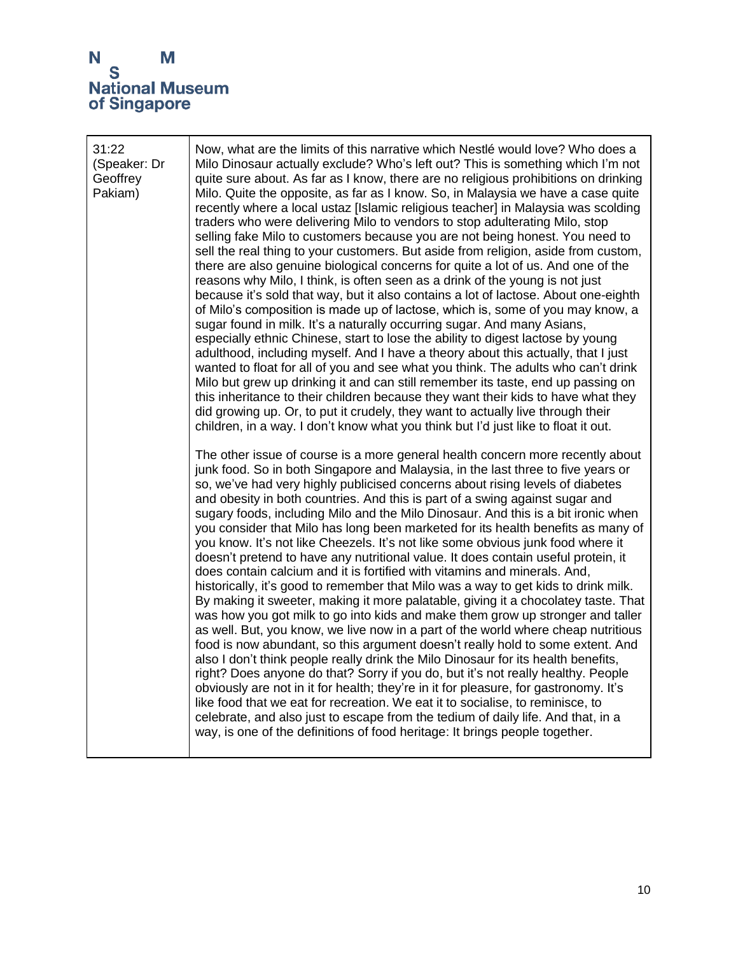| 31:22<br>(Speaker: Dr<br>Geoffrey<br>Pakiam) | Now, what are the limits of this narrative which Nestlé would love? Who does a<br>Milo Dinosaur actually exclude? Who's left out? This is something which I'm not<br>quite sure about. As far as I know, there are no religious prohibitions on drinking<br>Milo. Quite the opposite, as far as I know. So, in Malaysia we have a case quite<br>recently where a local ustaz [Islamic religious teacher] in Malaysia was scolding<br>traders who were delivering Milo to vendors to stop adulterating Milo, stop<br>selling fake Milo to customers because you are not being honest. You need to<br>sell the real thing to your customers. But aside from religion, aside from custom,<br>there are also genuine biological concerns for quite a lot of us. And one of the<br>reasons why Milo, I think, is often seen as a drink of the young is not just<br>because it's sold that way, but it also contains a lot of lactose. About one-eighth<br>of Milo's composition is made up of lactose, which is, some of you may know, a<br>sugar found in milk. It's a naturally occurring sugar. And many Asians,<br>especially ethnic Chinese, start to lose the ability to digest lactose by young<br>adulthood, including myself. And I have a theory about this actually, that I just<br>wanted to float for all of you and see what you think. The adults who can't drink<br>Milo but grew up drinking it and can still remember its taste, end up passing on<br>this inheritance to their children because they want their kids to have what they<br>did growing up. Or, to put it crudely, they want to actually live through their<br>children, in a way. I don't know what you think but I'd just like to float it out.<br>The other issue of course is a more general health concern more recently about<br>junk food. So in both Singapore and Malaysia, in the last three to five years or<br>so, we've had very highly publicised concerns about rising levels of diabetes<br>and obesity in both countries. And this is part of a swing against sugar and<br>sugary foods, including Milo and the Milo Dinosaur. And this is a bit ironic when<br>you consider that Milo has long been marketed for its health benefits as many of<br>you know. It's not like Cheezels. It's not like some obvious junk food where it<br>doesn't pretend to have any nutritional value. It does contain useful protein, it<br>does contain calcium and it is fortified with vitamins and minerals. And,<br>historically, it's good to remember that Milo was a way to get kids to drink milk.<br>By making it sweeter, making it more palatable, giving it a chocolatey taste. That<br>was how you got milk to go into kids and make them grow up stronger and taller<br>as well. But, you know, we live now in a part of the world where cheap nutritious<br>food is now abundant, so this argument doesn't really hold to some extent. And<br>also I don't think people really drink the Milo Dinosaur for its health benefits,<br>right? Does anyone do that? Sorry if you do, but it's not really healthy. People<br>obviously are not in it for health; they're in it for pleasure, for gastronomy. It's |
|----------------------------------------------|----------------------------------------------------------------------------------------------------------------------------------------------------------------------------------------------------------------------------------------------------------------------------------------------------------------------------------------------------------------------------------------------------------------------------------------------------------------------------------------------------------------------------------------------------------------------------------------------------------------------------------------------------------------------------------------------------------------------------------------------------------------------------------------------------------------------------------------------------------------------------------------------------------------------------------------------------------------------------------------------------------------------------------------------------------------------------------------------------------------------------------------------------------------------------------------------------------------------------------------------------------------------------------------------------------------------------------------------------------------------------------------------------------------------------------------------------------------------------------------------------------------------------------------------------------------------------------------------------------------------------------------------------------------------------------------------------------------------------------------------------------------------------------------------------------------------------------------------------------------------------------------------------------------------------------------------------------------------------------------------------------------------------------------------------------------------------------------------------------------------------------------------------------------------------------------------------------------------------------------------------------------------------------------------------------------------------------------------------------------------------------------------------------------------------------------------------------------------------------------------------------------------------------------------------------------------------------------------------------------------------------------------------------------------------------------------------------------------------------------------------------------------------------------------------------------------------------------------------------------------------------------------------------------------------------------------------------------------------------------------------------------------------------------------------------------------------------------------------------------------------------------------------------------------------------------------------------|
|                                              | like food that we eat for recreation. We eat it to socialise, to reminisce, to<br>celebrate, and also just to escape from the tedium of daily life. And that, in a<br>way, is one of the definitions of food heritage: It brings people together.                                                                                                                                                                                                                                                                                                                                                                                                                                                                                                                                                                                                                                                                                                                                                                                                                                                                                                                                                                                                                                                                                                                                                                                                                                                                                                                                                                                                                                                                                                                                                                                                                                                                                                                                                                                                                                                                                                                                                                                                                                                                                                                                                                                                                                                                                                                                                                                                                                                                                                                                                                                                                                                                                                                                                                                                                                                                                                                                                        |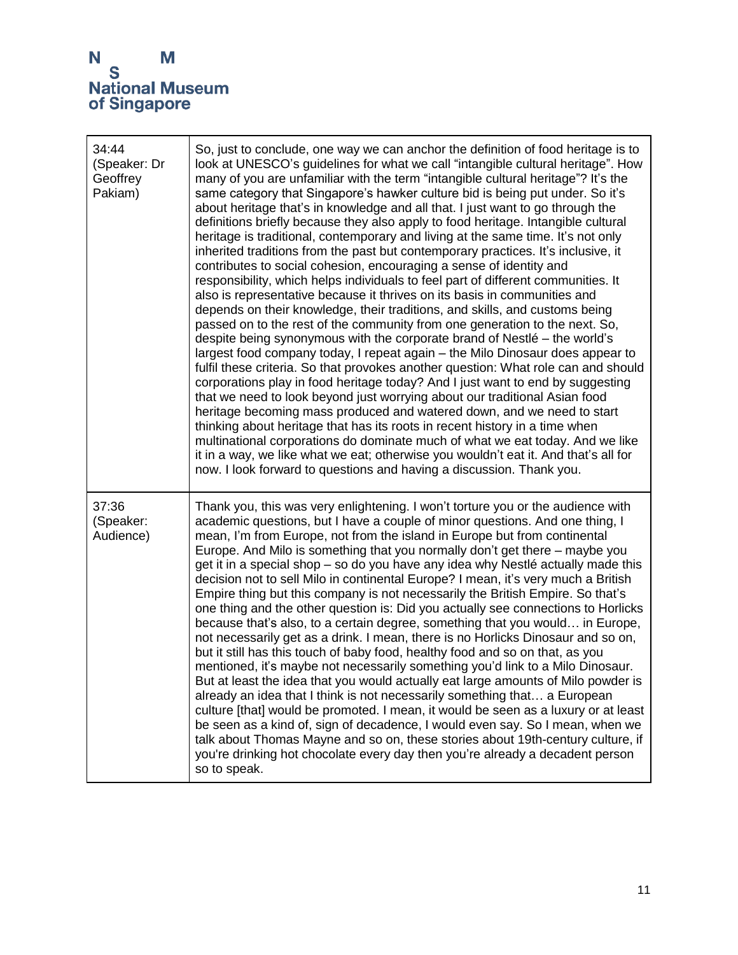| 34:44<br>(Speaker: Dr<br>Geoffrey<br>Pakiam) | So, just to conclude, one way we can anchor the definition of food heritage is to<br>look at UNESCO's guidelines for what we call "intangible cultural heritage". How<br>many of you are unfamiliar with the term "intangible cultural heritage"? It's the<br>same category that Singapore's hawker culture bid is being put under. So it's<br>about heritage that's in knowledge and all that. I just want to go through the<br>definitions briefly because they also apply to food heritage. Intangible cultural<br>heritage is traditional, contemporary and living at the same time. It's not only<br>inherited traditions from the past but contemporary practices. It's inclusive, it<br>contributes to social cohesion, encouraging a sense of identity and<br>responsibility, which helps individuals to feel part of different communities. It<br>also is representative because it thrives on its basis in communities and<br>depends on their knowledge, their traditions, and skills, and customs being<br>passed on to the rest of the community from one generation to the next. So,<br>despite being synonymous with the corporate brand of Nestlé - the world's<br>largest food company today, I repeat again – the Milo Dinosaur does appear to<br>fulfil these criteria. So that provokes another question: What role can and should<br>corporations play in food heritage today? And I just want to end by suggesting<br>that we need to look beyond just worrying about our traditional Asian food<br>heritage becoming mass produced and watered down, and we need to start<br>thinking about heritage that has its roots in recent history in a time when<br>multinational corporations do dominate much of what we eat today. And we like<br>it in a way, we like what we eat; otherwise you wouldn't eat it. And that's all for<br>now. I look forward to questions and having a discussion. Thank you. |
|----------------------------------------------|---------------------------------------------------------------------------------------------------------------------------------------------------------------------------------------------------------------------------------------------------------------------------------------------------------------------------------------------------------------------------------------------------------------------------------------------------------------------------------------------------------------------------------------------------------------------------------------------------------------------------------------------------------------------------------------------------------------------------------------------------------------------------------------------------------------------------------------------------------------------------------------------------------------------------------------------------------------------------------------------------------------------------------------------------------------------------------------------------------------------------------------------------------------------------------------------------------------------------------------------------------------------------------------------------------------------------------------------------------------------------------------------------------------------------------------------------------------------------------------------------------------------------------------------------------------------------------------------------------------------------------------------------------------------------------------------------------------------------------------------------------------------------------------------------------------------------------------------------------------------------------------------------------------------------------|
| 37:36<br>(Speaker:<br>Audience)              | Thank you, this was very enlightening. I won't torture you or the audience with<br>academic questions, but I have a couple of minor questions. And one thing, I<br>mean, I'm from Europe, not from the island in Europe but from continental<br>Europe. And Milo is something that you normally don't get there – maybe you<br>get it in a special shop – so do you have any idea why Nestlé actually made this<br>decision not to sell Milo in continental Europe? I mean, it's very much a British<br>Empire thing but this company is not necessarily the British Empire. So that's<br>one thing and the other question is: Did you actually see connections to Horlicks<br>because that's also, to a certain degree, something that you would in Europe,<br>not necessarily get as a drink. I mean, there is no Horlicks Dinosaur and so on,<br>but it still has this touch of baby food, healthy food and so on that, as you<br>mentioned, it's maybe not necessarily something you'd link to a Milo Dinosaur.<br>But at least the idea that you would actually eat large amounts of Milo powder is<br>already an idea that I think is not necessarily something that a European<br>culture [that] would be promoted. I mean, it would be seen as a luxury or at least<br>be seen as a kind of, sign of decadence, I would even say. So I mean, when we<br>talk about Thomas Mayne and so on, these stories about 19th-century culture, if<br>you're drinking hot chocolate every day then you're already a decadent person<br>so to speak.                                                                                                                                                                                                                                                                                                                                                                                |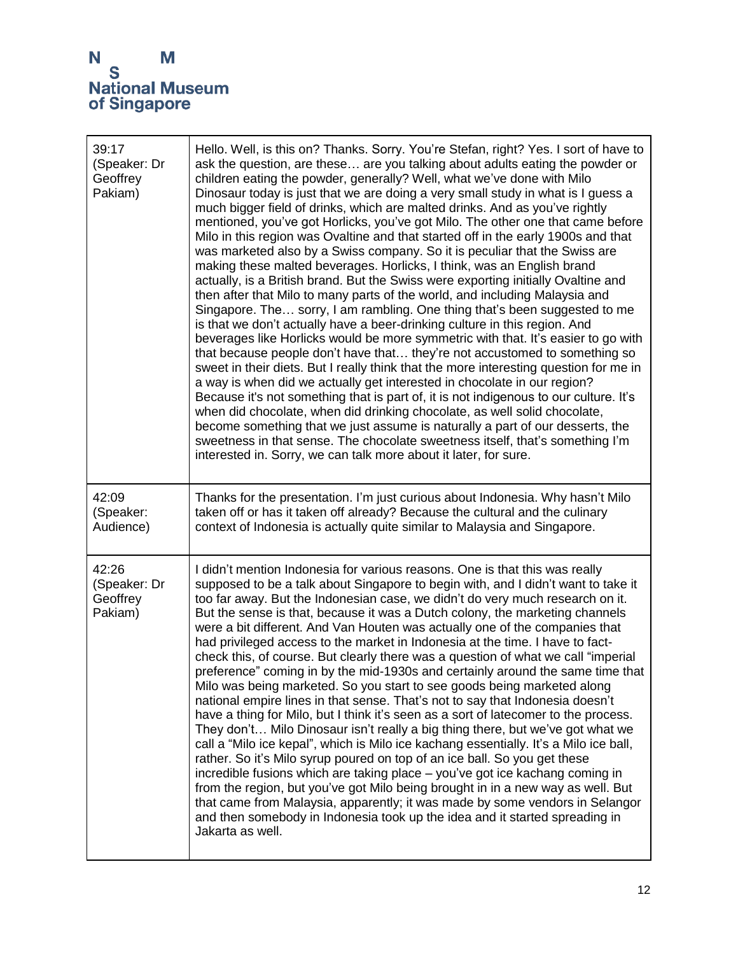| 39:17<br>(Speaker: Dr<br>Geoffrey<br>Pakiam) | Hello. Well, is this on? Thanks. Sorry. You're Stefan, right? Yes. I sort of have to<br>ask the question, are these are you talking about adults eating the powder or<br>children eating the powder, generally? Well, what we've done with Milo<br>Dinosaur today is just that we are doing a very small study in what is I guess a<br>much bigger field of drinks, which are malted drinks. And as you've rightly<br>mentioned, you've got Horlicks, you've got Milo. The other one that came before<br>Milo in this region was Ovaltine and that started off in the early 1900s and that<br>was marketed also by a Swiss company. So it is peculiar that the Swiss are<br>making these malted beverages. Horlicks, I think, was an English brand<br>actually, is a British brand. But the Swiss were exporting initially Ovaltine and<br>then after that Milo to many parts of the world, and including Malaysia and<br>Singapore. The sorry, I am rambling. One thing that's been suggested to me<br>is that we don't actually have a beer-drinking culture in this region. And<br>beverages like Horlicks would be more symmetric with that. It's easier to go with<br>that because people don't have that they're not accustomed to something so<br>sweet in their diets. But I really think that the more interesting question for me in<br>a way is when did we actually get interested in chocolate in our region?<br>Because it's not something that is part of, it is not indigenous to our culture. It's<br>when did chocolate, when did drinking chocolate, as well solid chocolate,<br>become something that we just assume is naturally a part of our desserts, the<br>sweetness in that sense. The chocolate sweetness itself, that's something I'm<br>interested in. Sorry, we can talk more about it later, for sure. |
|----------------------------------------------|----------------------------------------------------------------------------------------------------------------------------------------------------------------------------------------------------------------------------------------------------------------------------------------------------------------------------------------------------------------------------------------------------------------------------------------------------------------------------------------------------------------------------------------------------------------------------------------------------------------------------------------------------------------------------------------------------------------------------------------------------------------------------------------------------------------------------------------------------------------------------------------------------------------------------------------------------------------------------------------------------------------------------------------------------------------------------------------------------------------------------------------------------------------------------------------------------------------------------------------------------------------------------------------------------------------------------------------------------------------------------------------------------------------------------------------------------------------------------------------------------------------------------------------------------------------------------------------------------------------------------------------------------------------------------------------------------------------------------------------------------------------------------------------------------------------------------------------|
| 42:09<br>(Speaker:<br>Audience)              | Thanks for the presentation. I'm just curious about Indonesia. Why hasn't Milo<br>taken off or has it taken off already? Because the cultural and the culinary<br>context of Indonesia is actually quite similar to Malaysia and Singapore.                                                                                                                                                                                                                                                                                                                                                                                                                                                                                                                                                                                                                                                                                                                                                                                                                                                                                                                                                                                                                                                                                                                                                                                                                                                                                                                                                                                                                                                                                                                                                                                            |
| 42:26<br>(Speaker: Dr<br>Geoffrey<br>Pakiam) | I didn't mention Indonesia for various reasons. One is that this was really<br>supposed to be a talk about Singapore to begin with, and I didn't want to take it<br>too far away. But the Indonesian case, we didn't do very much research on it.<br>But the sense is that, because it was a Dutch colony, the marketing channels<br>were a bit different. And Van Houten was actually one of the companies that<br>had privileged access to the market in Indonesia at the time. I have to fact-<br>check this, of course. But clearly there was a question of what we call "imperial<br>preference" coming in by the mid-1930s and certainly around the same time that<br>Milo was being marketed. So you start to see goods being marketed along<br>national empire lines in that sense. That's not to say that Indonesia doesn't<br>have a thing for Milo, but I think it's seen as a sort of latecomer to the process.<br>They don't Milo Dinosaur isn't really a big thing there, but we've got what we<br>call a "Milo ice kepal", which is Milo ice kachang essentially. It's a Milo ice ball,<br>rather. So it's Milo syrup poured on top of an ice ball. So you get these<br>incredible fusions which are taking place - you've got ice kachang coming in<br>from the region, but you've got Milo being brought in in a new way as well. But<br>that came from Malaysia, apparently; it was made by some vendors in Selangor<br>and then somebody in Indonesia took up the idea and it started spreading in<br>Jakarta as well.                                                                                                                                                                                                                                                                                              |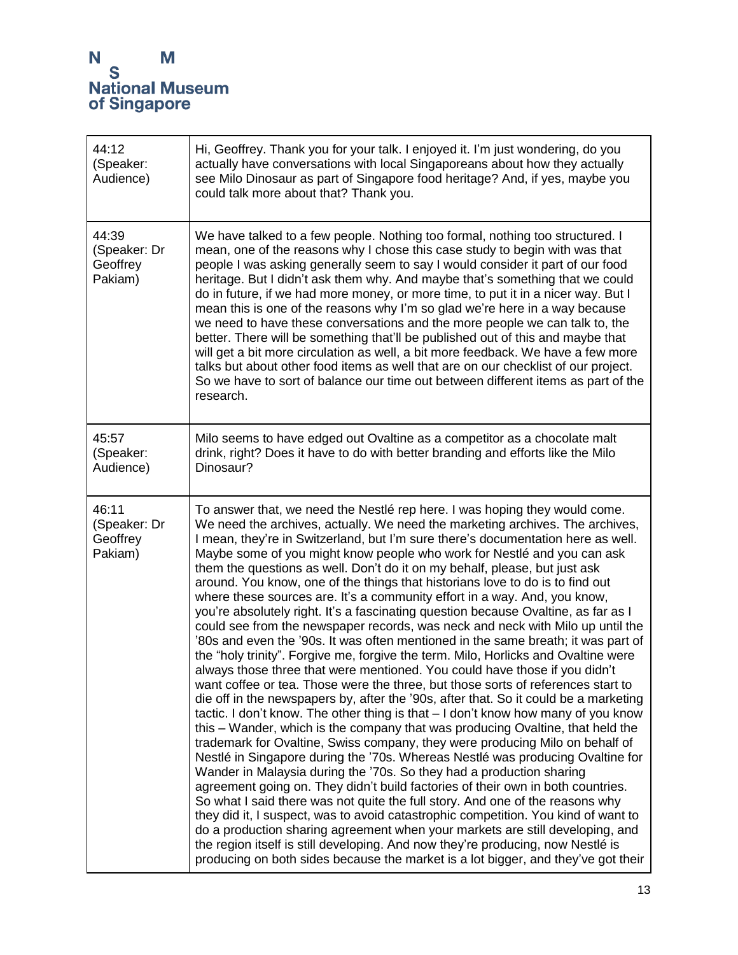$\blacksquare$ 

| 44:12<br>(Speaker:<br>Audience)              | Hi, Geoffrey. Thank you for your talk. I enjoyed it. I'm just wondering, do you<br>actually have conversations with local Singaporeans about how they actually<br>see Milo Dinosaur as part of Singapore food heritage? And, if yes, maybe you<br>could talk more about that? Thank you.                                                                                                                                                                                                                                                                                                                                                                                                                                                                                                                                                                                                                                                                                                                                                                                                                                                                                                                                                                                                                                                                                                                                                                                                                                                                                                                                                                                                                                                                                                                                                                                                                                                                                                                                                                                                                                 |
|----------------------------------------------|--------------------------------------------------------------------------------------------------------------------------------------------------------------------------------------------------------------------------------------------------------------------------------------------------------------------------------------------------------------------------------------------------------------------------------------------------------------------------------------------------------------------------------------------------------------------------------------------------------------------------------------------------------------------------------------------------------------------------------------------------------------------------------------------------------------------------------------------------------------------------------------------------------------------------------------------------------------------------------------------------------------------------------------------------------------------------------------------------------------------------------------------------------------------------------------------------------------------------------------------------------------------------------------------------------------------------------------------------------------------------------------------------------------------------------------------------------------------------------------------------------------------------------------------------------------------------------------------------------------------------------------------------------------------------------------------------------------------------------------------------------------------------------------------------------------------------------------------------------------------------------------------------------------------------------------------------------------------------------------------------------------------------------------------------------------------------------------------------------------------------|
| 44:39<br>(Speaker: Dr<br>Geoffrey<br>Pakiam) | We have talked to a few people. Nothing too formal, nothing too structured. I<br>mean, one of the reasons why I chose this case study to begin with was that<br>people I was asking generally seem to say I would consider it part of our food<br>heritage. But I didn't ask them why. And maybe that's something that we could<br>do in future, if we had more money, or more time, to put it in a nicer way. But I<br>mean this is one of the reasons why I'm so glad we're here in a way because<br>we need to have these conversations and the more people we can talk to, the<br>better. There will be something that'll be published out of this and maybe that<br>will get a bit more circulation as well, a bit more feedback. We have a few more<br>talks but about other food items as well that are on our checklist of our project.<br>So we have to sort of balance our time out between different items as part of the<br>research.                                                                                                                                                                                                                                                                                                                                                                                                                                                                                                                                                                                                                                                                                                                                                                                                                                                                                                                                                                                                                                                                                                                                                                        |
| 45:57<br>(Speaker:<br>Audience)              | Milo seems to have edged out Ovaltine as a competitor as a chocolate malt<br>drink, right? Does it have to do with better branding and efforts like the Milo<br>Dinosaur?                                                                                                                                                                                                                                                                                                                                                                                                                                                                                                                                                                                                                                                                                                                                                                                                                                                                                                                                                                                                                                                                                                                                                                                                                                                                                                                                                                                                                                                                                                                                                                                                                                                                                                                                                                                                                                                                                                                                                |
| 46:11<br>(Speaker: Dr<br>Geoffrey<br>Pakiam) | To answer that, we need the Nestlé rep here. I was hoping they would come.<br>We need the archives, actually. We need the marketing archives. The archives,<br>I mean, they're in Switzerland, but I'm sure there's documentation here as well.<br>Maybe some of you might know people who work for Nestlé and you can ask<br>them the questions as well. Don't do it on my behalf, please, but just ask<br>around. You know, one of the things that historians love to do is to find out<br>where these sources are. It's a community effort in a way. And, you know,<br>you're absolutely right. It's a fascinating question because Ovaltine, as far as I<br>could see from the newspaper records, was neck and neck with Milo up until the<br>'80s and even the '90s. It was often mentioned in the same breath; it was part of<br>the "holy trinity". Forgive me, forgive the term. Milo, Horlicks and Ovaltine were<br>always those three that were mentioned. You could have those if you didn't<br>want coffee or tea. Those were the three, but those sorts of references start to<br>die off in the newspapers by, after the '90s, after that. So it could be a marketing<br>tactic. I don't know. The other thing is that $-1$ don't know how many of you know<br>this – Wander, which is the company that was producing Ovaltine, that held the<br>trademark for Ovaltine, Swiss company, they were producing Milo on behalf of<br>Nestlé in Singapore during the '70s. Whereas Nestlé was producing Ovaltine for<br>Wander in Malaysia during the '70s. So they had a production sharing<br>agreement going on. They didn't build factories of their own in both countries.<br>So what I said there was not quite the full story. And one of the reasons why<br>they did it, I suspect, was to avoid catastrophic competition. You kind of want to<br>do a production sharing agreement when your markets are still developing, and<br>the region itself is still developing. And now they're producing, now Nestlé is<br>producing on both sides because the market is a lot bigger, and they've got their |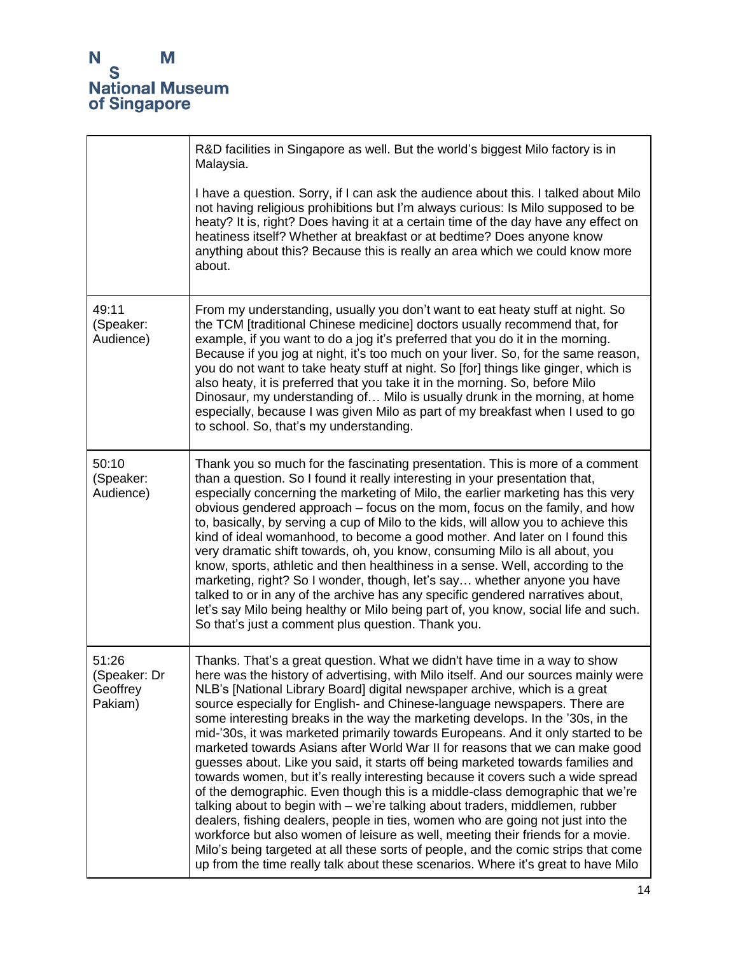|                                              | R&D facilities in Singapore as well. But the world's biggest Milo factory is in<br>Malaysia.                                                                                                                                                                                                                                                                                                                                                                                                                                                                                                                                                                                                                                                                                                                                                                                                                                                                                                                                                                                                                                                                                                                                                                              |
|----------------------------------------------|---------------------------------------------------------------------------------------------------------------------------------------------------------------------------------------------------------------------------------------------------------------------------------------------------------------------------------------------------------------------------------------------------------------------------------------------------------------------------------------------------------------------------------------------------------------------------------------------------------------------------------------------------------------------------------------------------------------------------------------------------------------------------------------------------------------------------------------------------------------------------------------------------------------------------------------------------------------------------------------------------------------------------------------------------------------------------------------------------------------------------------------------------------------------------------------------------------------------------------------------------------------------------|
|                                              | I have a question. Sorry, if I can ask the audience about this. I talked about Milo<br>not having religious prohibitions but I'm always curious: Is Milo supposed to be<br>heaty? It is, right? Does having it at a certain time of the day have any effect on<br>heatiness itself? Whether at breakfast or at bedtime? Does anyone know<br>anything about this? Because this is really an area which we could know more<br>about.                                                                                                                                                                                                                                                                                                                                                                                                                                                                                                                                                                                                                                                                                                                                                                                                                                        |
| 49:11<br>(Speaker:<br>Audience)              | From my understanding, usually you don't want to eat heaty stuff at night. So<br>the TCM [traditional Chinese medicine] doctors usually recommend that, for<br>example, if you want to do a jog it's preferred that you do it in the morning.<br>Because if you jog at night, it's too much on your liver. So, for the same reason,<br>you do not want to take heaty stuff at night. So [for] things like ginger, which is<br>also heaty, it is preferred that you take it in the morning. So, before Milo<br>Dinosaur, my understanding of Milo is usually drunk in the morning, at home<br>especially, because I was given Milo as part of my breakfast when I used to go<br>to school. So, that's my understanding.                                                                                                                                                                                                                                                                                                                                                                                                                                                                                                                                                    |
| 50:10<br>(Speaker:<br>Audience)              | Thank you so much for the fascinating presentation. This is more of a comment<br>than a question. So I found it really interesting in your presentation that,<br>especially concerning the marketing of Milo, the earlier marketing has this very<br>obvious gendered approach – focus on the mom, focus on the family, and how<br>to, basically, by serving a cup of Milo to the kids, will allow you to achieve this<br>kind of ideal womanhood, to become a good mother. And later on I found this<br>very dramatic shift towards, oh, you know, consuming Milo is all about, you<br>know, sports, athletic and then healthiness in a sense. Well, according to the<br>marketing, right? So I wonder, though, let's say whether anyone you have<br>talked to or in any of the archive has any specific gendered narratives about,<br>let's say Milo being healthy or Milo being part of, you know, social life and such.<br>So that's just a comment plus question. Thank you.                                                                                                                                                                                                                                                                                         |
| 51:26<br>(Speaker: Dr<br>Geoffrey<br>Pakiam) | Thanks. That's a great question. What we didn't have time in a way to show<br>here was the history of advertising, with Milo itself. And our sources mainly were<br>NLB's [National Library Board] digital newspaper archive, which is a great<br>source especially for English- and Chinese-language newspapers. There are<br>some interesting breaks in the way the marketing develops. In the '30s, in the<br>mid-'30s, it was marketed primarily towards Europeans. And it only started to be<br>marketed towards Asians after World War II for reasons that we can make good<br>guesses about. Like you said, it starts off being marketed towards families and<br>towards women, but it's really interesting because it covers such a wide spread<br>of the demographic. Even though this is a middle-class demographic that we're<br>talking about to begin with - we're talking about traders, middlemen, rubber<br>dealers, fishing dealers, people in ties, women who are going not just into the<br>workforce but also women of leisure as well, meeting their friends for a movie.<br>Milo's being targeted at all these sorts of people, and the comic strips that come<br>up from the time really talk about these scenarios. Where it's great to have Milo |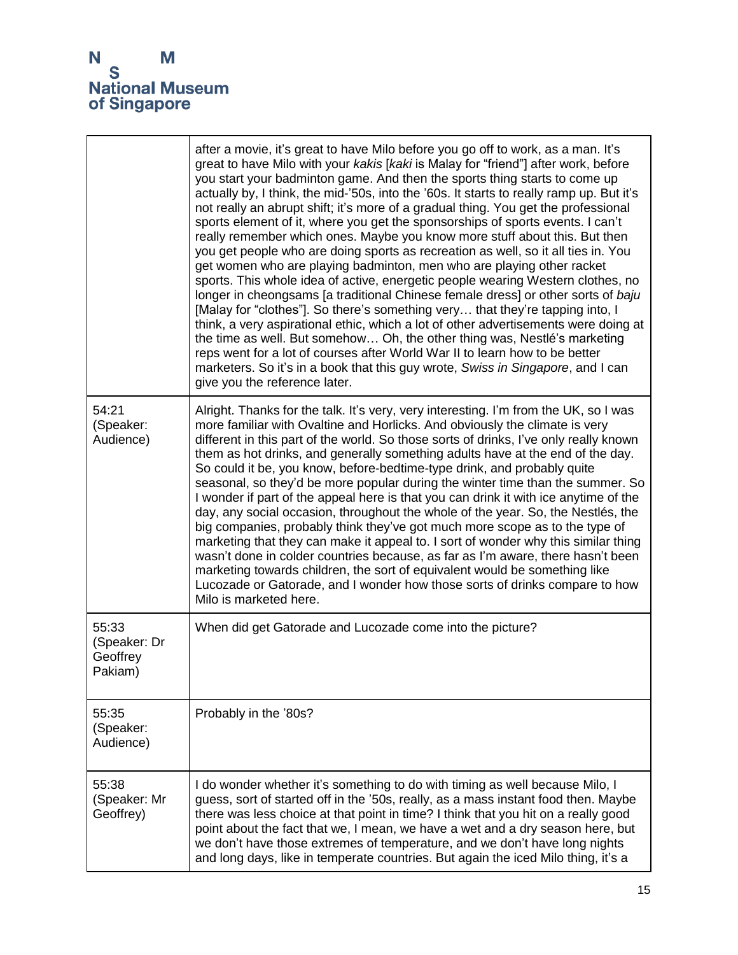|                                              | after a movie, it's great to have Milo before you go off to work, as a man. It's<br>great to have Milo with your kakis [kaki is Malay for "friend"] after work, before<br>you start your badminton game. And then the sports thing starts to come up<br>actually by, I think, the mid-'50s, into the '60s. It starts to really ramp up. But it's<br>not really an abrupt shift; it's more of a gradual thing. You get the professional<br>sports element of it, where you get the sponsorships of sports events. I can't<br>really remember which ones. Maybe you know more stuff about this. But then<br>you get people who are doing sports as recreation as well, so it all ties in. You<br>get women who are playing badminton, men who are playing other racket<br>sports. This whole idea of active, energetic people wearing Western clothes, no<br>longer in cheongsams [a traditional Chinese female dress] or other sorts of baju<br>[Malay for "clothes"]. So there's something very that they're tapping into, I<br>think, a very aspirational ethic, which a lot of other advertisements were doing at<br>the time as well. But somehow Oh, the other thing was, Nestlé's marketing<br>reps went for a lot of courses after World War II to learn how to be better<br>marketers. So it's in a book that this guy wrote, Swiss in Singapore, and I can<br>give you the reference later. |
|----------------------------------------------|-----------------------------------------------------------------------------------------------------------------------------------------------------------------------------------------------------------------------------------------------------------------------------------------------------------------------------------------------------------------------------------------------------------------------------------------------------------------------------------------------------------------------------------------------------------------------------------------------------------------------------------------------------------------------------------------------------------------------------------------------------------------------------------------------------------------------------------------------------------------------------------------------------------------------------------------------------------------------------------------------------------------------------------------------------------------------------------------------------------------------------------------------------------------------------------------------------------------------------------------------------------------------------------------------------------------------------------------------------------------------------------------------------|
| 54:21<br>(Speaker:<br>Audience)              | Alright. Thanks for the talk. It's very, very interesting. I'm from the UK, so I was<br>more familiar with Ovaltine and Horlicks. And obviously the climate is very<br>different in this part of the world. So those sorts of drinks, I've only really known<br>them as hot drinks, and generally something adults have at the end of the day.<br>So could it be, you know, before-bedtime-type drink, and probably quite<br>seasonal, so they'd be more popular during the winter time than the summer. So<br>I wonder if part of the appeal here is that you can drink it with ice anytime of the<br>day, any social occasion, throughout the whole of the year. So, the Nestlés, the<br>big companies, probably think they've got much more scope as to the type of<br>marketing that they can make it appeal to. I sort of wonder why this similar thing<br>wasn't done in colder countries because, as far as I'm aware, there hasn't been<br>marketing towards children, the sort of equivalent would be something like<br>Lucozade or Gatorade, and I wonder how those sorts of drinks compare to how<br>Milo is marketed here.                                                                                                                                                                                                                                                              |
| 55:33<br>(Speaker: Dr<br>Geoffrey<br>Pakiam) | When did get Gatorade and Lucozade come into the picture?                                                                                                                                                                                                                                                                                                                                                                                                                                                                                                                                                                                                                                                                                                                                                                                                                                                                                                                                                                                                                                                                                                                                                                                                                                                                                                                                           |
| 55:35<br>(Speaker:<br>Audience)              | Probably in the '80s?                                                                                                                                                                                                                                                                                                                                                                                                                                                                                                                                                                                                                                                                                                                                                                                                                                                                                                                                                                                                                                                                                                                                                                                                                                                                                                                                                                               |
| 55:38<br>(Speaker: Mr<br>Geoffrey)           | I do wonder whether it's something to do with timing as well because Milo, I<br>guess, sort of started off in the '50s, really, as a mass instant food then. Maybe<br>there was less choice at that point in time? I think that you hit on a really good<br>point about the fact that we, I mean, we have a wet and a dry season here, but<br>we don't have those extremes of temperature, and we don't have long nights<br>and long days, like in temperate countries. But again the iced Milo thing, it's a                                                                                                                                                                                                                                                                                                                                                                                                                                                                                                                                                                                                                                                                                                                                                                                                                                                                                       |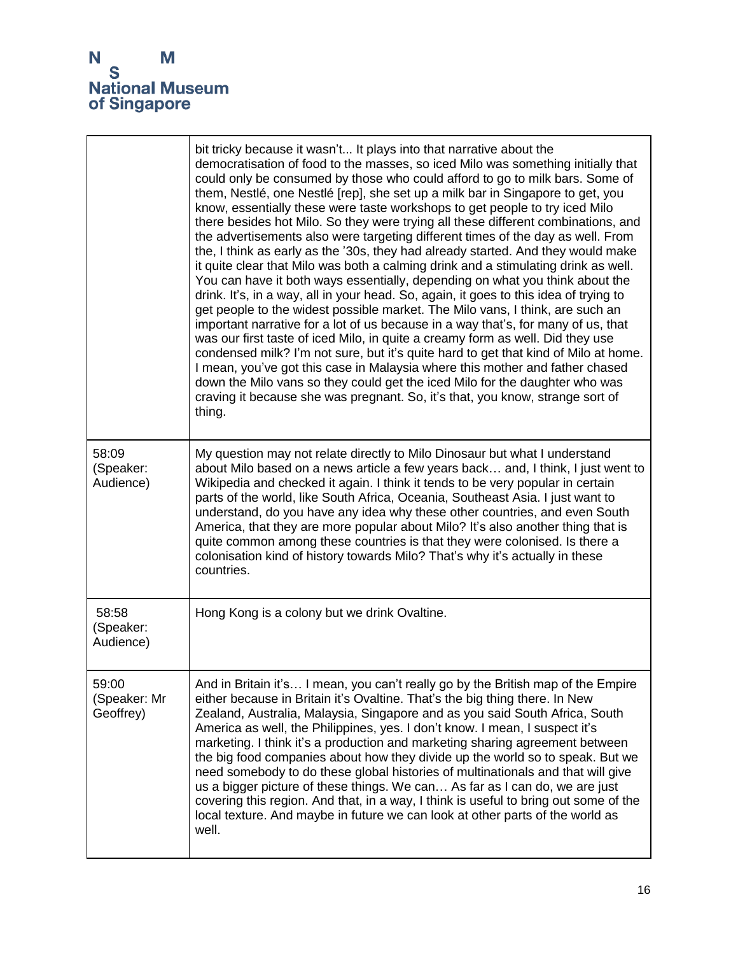|                                    | bit tricky because it wasn't It plays into that narrative about the<br>democratisation of food to the masses, so iced Milo was something initially that<br>could only be consumed by those who could afford to go to milk bars. Some of<br>them, Nestlé, one Nestlé [rep], she set up a milk bar in Singapore to get, you<br>know, essentially these were taste workshops to get people to try iced Milo<br>there besides hot Milo. So they were trying all these different combinations, and<br>the advertisements also were targeting different times of the day as well. From<br>the, I think as early as the '30s, they had already started. And they would make<br>it quite clear that Milo was both a calming drink and a stimulating drink as well.<br>You can have it both ways essentially, depending on what you think about the<br>drink. It's, in a way, all in your head. So, again, it goes to this idea of trying to<br>get people to the widest possible market. The Milo vans, I think, are such an<br>important narrative for a lot of us because in a way that's, for many of us, that<br>was our first taste of iced Milo, in quite a creamy form as well. Did they use<br>condensed milk? I'm not sure, but it's quite hard to get that kind of Milo at home.<br>I mean, you've got this case in Malaysia where this mother and father chased<br>down the Milo vans so they could get the iced Milo for the daughter who was<br>craving it because she was pregnant. So, it's that, you know, strange sort of<br>thing. |
|------------------------------------|----------------------------------------------------------------------------------------------------------------------------------------------------------------------------------------------------------------------------------------------------------------------------------------------------------------------------------------------------------------------------------------------------------------------------------------------------------------------------------------------------------------------------------------------------------------------------------------------------------------------------------------------------------------------------------------------------------------------------------------------------------------------------------------------------------------------------------------------------------------------------------------------------------------------------------------------------------------------------------------------------------------------------------------------------------------------------------------------------------------------------------------------------------------------------------------------------------------------------------------------------------------------------------------------------------------------------------------------------------------------------------------------------------------------------------------------------------------------------------------------------------------------------------------------|
| 58:09<br>(Speaker:<br>Audience)    | My question may not relate directly to Milo Dinosaur but what I understand<br>about Milo based on a news article a few years back and, I think, I just went to<br>Wikipedia and checked it again. I think it tends to be very popular in certain<br>parts of the world, like South Africa, Oceania, Southeast Asia. I just want to<br>understand, do you have any idea why these other countries, and even South<br>America, that they are more popular about Milo? It's also another thing that is<br>quite common among these countries is that they were colonised. Is there a<br>colonisation kind of history towards Milo? That's why it's actually in these<br>countries.                                                                                                                                                                                                                                                                                                                                                                                                                                                                                                                                                                                                                                                                                                                                                                                                                                                              |
| 58:58<br>(Speaker:<br>Audience)    | Hong Kong is a colony but we drink Ovaltine.                                                                                                                                                                                                                                                                                                                                                                                                                                                                                                                                                                                                                                                                                                                                                                                                                                                                                                                                                                                                                                                                                                                                                                                                                                                                                                                                                                                                                                                                                                 |
| 59:00<br>(Speaker: Mr<br>Geoffrey) | And in Britain it's I mean, you can't really go by the British map of the Empire<br>either because in Britain it's Ovaltine. That's the big thing there. In New<br>Zealand, Australia, Malaysia, Singapore and as you said South Africa, South<br>America as well, the Philippines, yes. I don't know. I mean, I suspect it's<br>marketing. I think it's a production and marketing sharing agreement between<br>the big food companies about how they divide up the world so to speak. But we<br>need somebody to do these global histories of multinationals and that will give<br>us a bigger picture of these things. We can As far as I can do, we are just<br>covering this region. And that, in a way, I think is useful to bring out some of the<br>local texture. And maybe in future we can look at other parts of the world as<br>well.                                                                                                                                                                                                                                                                                                                                                                                                                                                                                                                                                                                                                                                                                           |